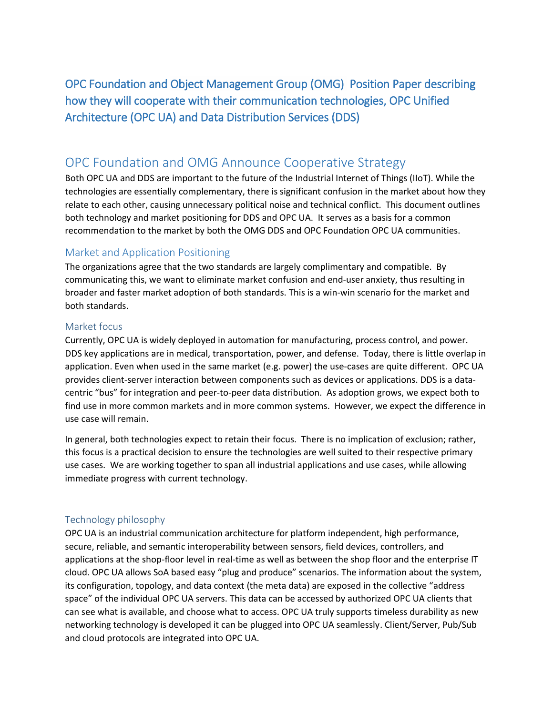OPC Foundation and Object Management Group (OMG) Position Paper describing how they will cooperate with their communication technologies, OPC Unified Architecture (OPC UA) and Data Distribution Services (DDS)

# OPC Foundation and OMG Announce Cooperative Strategy

Both OPC UA and DDS are important to the future of the Industrial Internet of Things (IIoT). While the technologies are essentially complementary, there is significant confusion in the market about how they relate to each other, causing unnecessary political noise and technical conflict. This document outlines both technology and market positioning for DDS and OPC UA. It serves as a basis for a common recommendation to the market by both the OMG DDS and OPC Foundation OPC UA communities.

# Market and Application Positioning

The organizations agree that the two standards are largely complimentary and compatible. By communicating this, we want to eliminate market confusion and end-user anxiety, thus resulting in broader and faster market adoption of both standards. This is a win-win scenario for the market and both standards.

#### Market focus

Currently, OPC UA is widely deployed in automation for manufacturing, process control, and power. DDS key applications are in medical, transportation, power, and defense. Today, there is little overlap in application. Even when used in the same market (e.g. power) the use-cases are quite different. OPC UA provides client-server interaction between components such as devices or applications. DDS is a datacentric "bus" for integration and peer-to-peer data distribution. As adoption grows, we expect both to find use in more common markets and in more common systems. However, we expect the difference in use case will remain.

In general, both technologies expect to retain their focus. There is no implication of exclusion; rather, this focus is a practical decision to ensure the technologies are well suited to their respective primary use cases. We are working together to span all industrial applications and use cases, while allowing immediate progress with current technology.

### Technology philosophy

OPC UA is an industrial communication architecture for platform independent, high performance, secure, reliable, and semantic interoperability between sensors, field devices, controllers, and applications at the shop-floor level in real-time as well as between the shop floor and the enterprise IT cloud. OPC UA allows SoA based easy "plug and produce" scenarios. The information about the system, its configuration, topology, and data context (the meta data) are exposed in the collective "address space" of the individual OPC UA servers. This data can be accessed by authorized OPC UA clients that can see what is available, and choose what to access. OPC UA truly supports timeless durability as new networking technology is developed it can be plugged into OPC UA seamlessly. Client/Server, Pub/Sub and cloud protocols are integrated into OPC UA.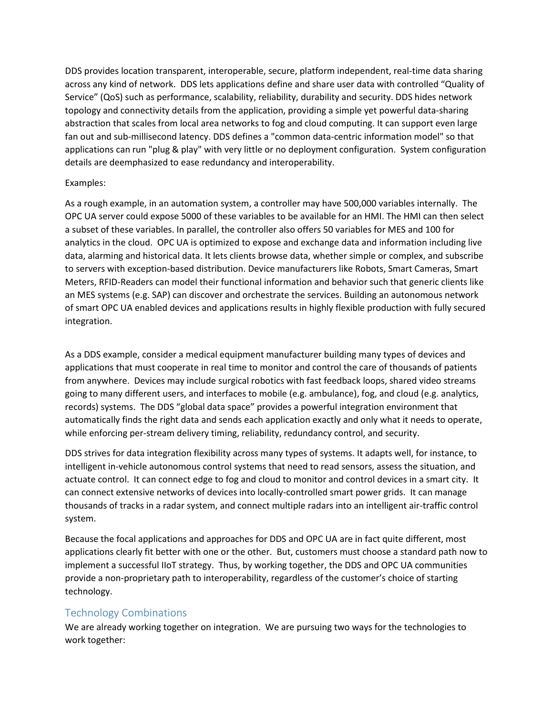DDS provides location transparent, interoperable, secure, platform independent, real-time data sharing across any kind of network. DDS lets applications define and share user data with controlled "Quality of Service" (QoS) such as performance, scalability, reliability, durability and security. DDS hides network topology and connectivity details from the application, providing a simple yet powerful data-sharing abstraction that scales from local area networks to fog and cloud computing. It can support even large fan out and sub-millisecond latency. DDS defines a "common data-centric information model" so that applications can run "plug & play" with very little or no deployment configuration. System configuration details are deemphasized to ease redundancy and interoperability.

#### Examples:

As a rough example, in an automation system, a controller may have 500,000 variables internally. The OPC UA server could expose 5000 of these variables to be available for an HMI. The HMI can then select a subset of these variables. In parallel, the controller also offers 50 variables for MES and 100 for analytics in the cloud. OPC UA is optimized to expose and exchange data and information including live data, alarming and historical data. It lets clients browse data, whether simple or complex, and subscribe to servers with exception-based distribution. Device manufacturers like Robots, Smart Cameras, Smart Meters, RFID-Readers can model their functional information and behavior such that generic clients like an MES systems (e.g. SAP) can discover and orchestrate the services. Building an autonomous network of smart OPC UA enabled devices and applications results in highly flexible production with fully secured integration.

As a DDS example, consider a medical equipment manufacturer building many types of devices and applications that must cooperate in real time to monitor and control the care of thousands of patients from anywhere. Devices may include surgical robotics with fast feedback loops, shared video streams going to many different users, and interfaces to mobile (e.g. ambulance), fog, and cloud (e.g. analytics, records) systems. The DDS "global data space" provides a powerful integration environment that automatically finds the right data and sends each application exactly and only what it needs to operate, while enforcing per-stream delivery timing, reliability, redundancy control, and security.

DDS strives for data integration flexibility across many types of systems. It adapts well, for instance, to intelligent in-vehicle autonomous control systems that need to read sensors, assess the situation, and actuate control. It can connect edge to fog and cloud to monitor and control devices in a smart city. It can connect extensive networks of devices into locally-controlled smart power grids. It can manage thousands of tracks in a radar system, and connect multiple radars into an intelligent air-traffic control system.

Because the focal applications and approaches for DDS and OPC UA are in fact quite different, most applications clearly fit better with one or the other. But, customers must choose a standard path now to implement a successful IIoT strategy. Thus, by working together, the DDS and OPC UA communities provide a non-proprietary path to interoperability, regardless of the customer's choice of starting technology.

# Technology Combinations

We are already working together on integration. We are pursuing two ways for the technologies to work together: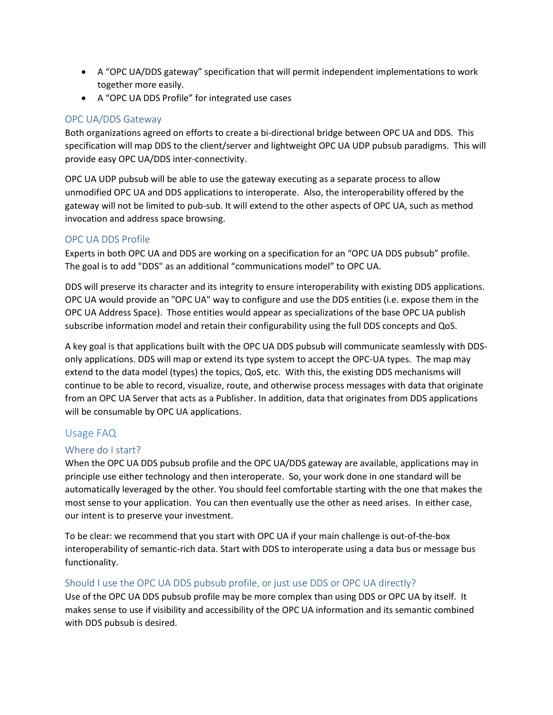- A "OPC UA/DDS gateway" specification that will permit independent implementations to work together more easily.
- A "OPC UA DDS Profile" for integrated use cases

### OPC UA/DDS Gateway

Both organizations agreed on efforts to create a bi-directional bridge between OPC UA and DDS. This specification will map DDS to the client/server and lightweight OPC UA UDP pubsub paradigms. This will provide easy OPC UA/DDS inter-connectivity.

OPC UA UDP pubsub will be able to use the gateway executing as a separate process to allow unmodified OPC UA and DDS applications to interoperate. Also, the interoperability offered by the gateway will not be limited to pub-sub. It will extend to the other aspects of OPC UA, such as method invocation and address space browsing.

#### OPC UA DDS Profile

Experts in both OPC UA and DDS are working on a specification for an "OPC UA DDS pubsub" profile. The goal is to add "DDS" as an additional "communications model" to OPC UA.

DDS will preserve its character and its integrity to ensure interoperability with existing DDS applications. OPC UA would provide an "OPC UA" way to configure and use the DDS entities (i.e. expose them in the OPC UA Address Space). Those entities would appear as specializations of the base OPC UA publish subscribe information model and retain their configurability using the full DDS concepts and QoS.

A key goal is that applications built with the OPC UA DDS pubsub will communicate seamlessly with DDSonly applications. DDS will map or extend its type system to accept the OPC-UA types. The map may extend to the data model (types) the topics, QoS, etc. With this, the existing DDS mechanisms will continue to be able to record, visualize, route, and otherwise process messages with data that originate from an OPC UA Server that acts as a Publisher. In addition, data that originates from DDS applications will be consumable by OPC UA applications.

### Usage FAQ

### Where do I start?

When the OPC UA DDS pubsub profile and the OPC UA/DDS gateway are available, applications may in principle use either technology and then interoperate. So, your work done in one standard will be automatically leveraged by the other. You should feel comfortable starting with the one that makes the most sense to your application. You can then eventually use the other as need arises. In either case, our intent is to preserve your investment.

To be clear: we recommend that you start with OPC UA if your main challenge is out-of-the-box interoperability of semantic-rich data. Start with DDS to interoperate using a data bus or message bus functionality.

### Should I use the OPC UA DDS pubsub profile, or just use DDS or OPC UA directly?

Use of the OPC UA DDS pubsub profile may be more complex than using DDS or OPC UA by itself. It makes sense to use if visibility and accessibility of the OPC UA information and its semantic combined with DDS pubsub is desired.